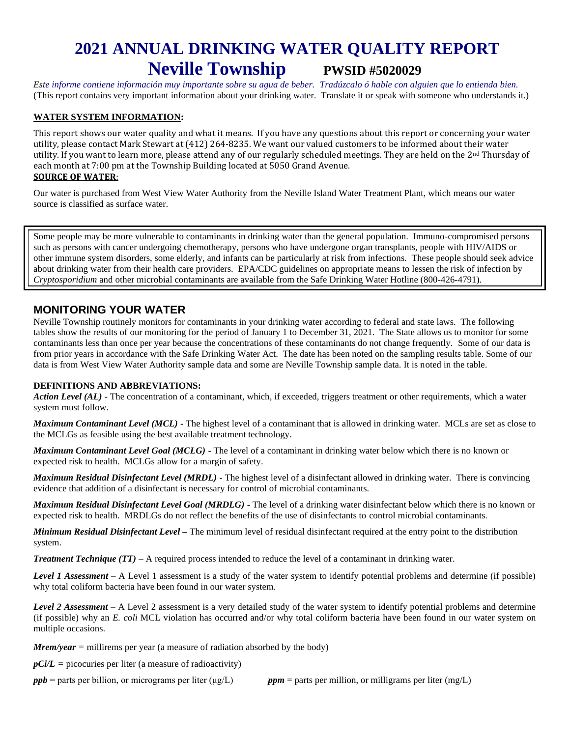# **2021 ANNUAL DRINKING WATER QUALITY REPORT Neville Township PWSID #5020029**

*Este informe contiene información muy importante sobre su agua de beber. Tradúzcalo ó hable con alguien que lo entienda bien.*  (This report contains very important information about your drinking water. Translate it or speak with someone who understands it.)

#### **WATER SYSTEM INFORMATION:**

This report shows our water quality and what it means. If you have any questions about this report or concerning your water utility, please contact Mark Stewart at (412) 264-8235. We want our valued customers to be informed about their water utility. If you want to learn more, please attend any of our regularly scheduled meetings. They are held on the 2<sup>nd</sup> Thursday of each month at 7:00 pm at the Township Building located at 5050 Grand Avenue. **SOURCE OF WATER**:

Our water is purchased from West View Water Authority from the Neville Island Water Treatment Plant, which means our water source is classified as surface water.

Some people may be more vulnerable to contaminants in drinking water than the general population. Immuno-compromised persons such as persons with cancer undergoing chemotherapy, persons who have undergone organ transplants, people with HIV/AIDS or other immune system disorders, some elderly, and infants can be particularly at risk from infections. These people should seek advice about drinking water from their health care providers. EPA/CDC guidelines on appropriate means to lessen the risk of infection by *Cryptosporidium* and other microbial contaminants are available from the Safe Drinking Water Hotline (800-426-4791).

## **MONITORING YOUR WATER**

Neville Township routinely monitors for contaminants in your drinking water according to federal and state laws. The following tables show the results of our monitoring for the period of January 1 to December 31, 2021. The State allows us to monitor for some contaminants less than once per year because the concentrations of these contaminants do not change frequently. Some of our data is from prior years in accordance with the Safe Drinking Water Act. The date has been noted on the sampling results table. Some of our data is from West View Water Authority sample data and some are Neville Township sample data. It is noted in the table.

### **DEFINITIONS AND ABBREVIATIONS:**

*Action Level (AL)* **-** The concentration of a contaminant, which, if exceeded, triggers treatment or other requirements, which a water system must follow.

*Maximum Contaminant Level (MCL)* **-** The highest level of a contaminant that is allowed in drinking water. MCLs are set as close to the MCLGs as feasible using the best available treatment technology.

*Maximum Contaminant Level Goal (MCLG)* **-** The level of a contaminant in drinking water below which there is no known or expected risk to health. MCLGs allow for a margin of safety.

*Maximum Residual Disinfectant Level (MRDL)* **-** The highest level of a disinfectant allowed in drinking water. There is convincing evidence that addition of a disinfectant is necessary for control of microbial contaminants.

*Maximum Residual Disinfectant Level Goal (MRDLG)* **-** The level of a drinking water disinfectant below which there is no known or expected risk to health. MRDLGs do not reflect the benefits of the use of disinfectants to control microbial contaminants.

*Minimum Residual Disinfectant Level –* The minimum level of residual disinfectant required at the entry point to the distribution system.

*Treatment Technique (TT)* – A required process intended to reduce the level of a contaminant in drinking water.

*Level 1 Assessment –* A Level 1 assessment is a study of the water system to identify potential problems and determine (if possible) why total coliform bacteria have been found in our water system.

*Level 2 Assessment –* A Level 2 assessment is a very detailed study of the water system to identify potential problems and determine (if possible) why an *E. coli* MCL violation has occurred and/or why total coliform bacteria have been found in our water system on multiple occasions.

*Mrem/year* = millirems per year (a measure of radiation absorbed by the body)

 $p\angle Ci/L$  = picocuries per liter (a measure of radioactivity)

*ppb* = parts per billion, or micrograms per liter (μg/L) *ppm* = parts per million, or milligrams per liter (mg/L)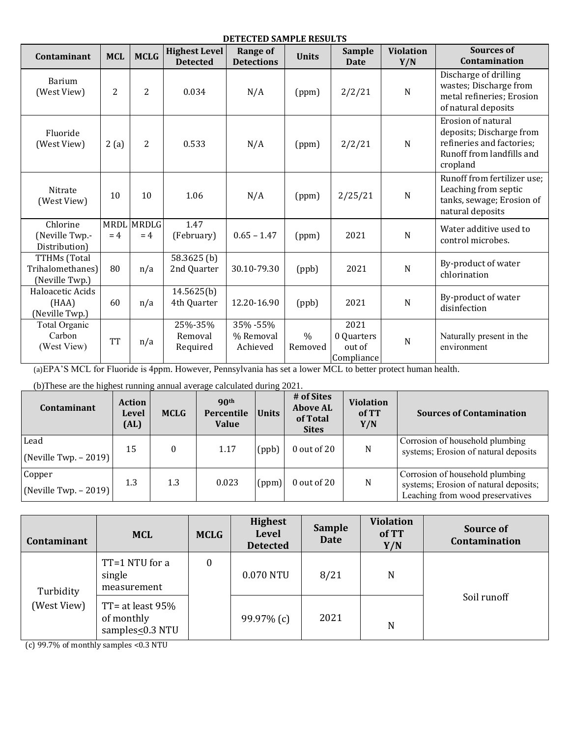## **DETECTED SAMPLE RESULTS**

| Contaminant                                        | <b>MCL</b> | <b>MCLG</b>                | <b>Highest Level</b><br><b>Detected</b> | <b>Range of</b><br><b>Detections</b> | <b>Units</b>             | <b>Sample</b><br>Date                      | <b>Violation</b><br>Y/N | <b>Sources of</b><br>Contamination                                                                                   |
|----------------------------------------------------|------------|----------------------------|-----------------------------------------|--------------------------------------|--------------------------|--------------------------------------------|-------------------------|----------------------------------------------------------------------------------------------------------------------|
| Barium<br>(West View)                              | 2          | 2                          | 0.034                                   | N/A                                  | (ppm)                    | 2/2/21                                     | $\mathbf N$             | Discharge of drilling<br>wastes; Discharge from<br>metal refineries; Erosion<br>of natural deposits                  |
| Fluoride<br>(West View)                            | 2(a)       | 2                          | 0.533                                   | N/A                                  | (ppm)                    | 2/2/21                                     | N                       | Erosion of natural<br>deposits; Discharge from<br>refineries and factories;<br>Runoff from landfills and<br>cropland |
| Nitrate<br>(West View)                             | 10         | 10                         | 1.06                                    | N/A                                  | (ppm)                    | 2/25/21                                    | $\mathbf N$             | Runoff from fertilizer use;<br>Leaching from septic<br>tanks, sewage; Erosion of<br>natural deposits                 |
| Chlorine<br>(Neville Twp.-<br>Distribution)        | $= 4$      | <b>MRDL MRDLG</b><br>$= 4$ | 1.47<br>(February)                      | $0.65 - 1.47$                        | (ppm)                    | 2021                                       | $\mathbf N$             | Water additive used to<br>control microbes.                                                                          |
| TTHMs (Total<br>Trihalomethanes)<br>(Neville Twp.) | 80         | n/a                        | 58.3625 <sub>(b)</sub><br>2nd Quarter   | 30.10-79.30                          | (ppb)                    | 2021                                       | $\mathbf N$             | By-product of water<br>chlorination                                                                                  |
| Haloacetic Acids<br>(HAA)<br>(Neville Twp.)        | 60         | n/a                        | 14.5625(b)<br>4th Quarter               | 12.20-16.90                          | (ppb)                    | 2021                                       | $\mathbf N$             | By-product of water<br>disinfection                                                                                  |
| Total Organic<br>Carbon<br>(West View)             | <b>TT</b>  | n/a                        | 25%-35%<br>Removal<br>Required          | 35% - 55%<br>% Removal<br>Achieved   | $\frac{0}{0}$<br>Removed | 2021<br>0 Quarters<br>out of<br>Compliance | $\mathbf N$             | Naturally present in the<br>environment                                                                              |

(a)EPA'S MCL for Fluoride is 4ppm. However, Pennsylvania has set a lower MCL to better protect human health.

(b)These are the highest running annual average calculated during 2021.

| Contaminant                                     | <b>Action</b><br><b>Level</b><br>$\text{(AL)}$ | <b>MCLG</b> | 90 <sup>th</sup><br>Percentile<br><b>Value</b> | <b>Units</b> | # of Sites<br><b>Above AL</b><br>of Total<br><b>Sites</b> | <b>Violation</b><br>of TT<br>Y/N | <b>Sources of Contamination</b>                                                                              |
|-------------------------------------------------|------------------------------------------------|-------------|------------------------------------------------|--------------|-----------------------------------------------------------|----------------------------------|--------------------------------------------------------------------------------------------------------------|
| Lead<br>$\vert$ (Neville Twp. - 2019) $\vert$   | 15                                             | $\Omega$    | 1.17                                           | (ppb)        | 0 out of 20                                               | N                                | Corrosion of household plumbing<br>systems; Erosion of natural deposits                                      |
| Copper<br>$\vert$ (Neville Twp. - 2019) $\vert$ | 1.3                                            | 1.3         | 0.023                                          | (ppm)        | $0$ out of 20                                             | N                                | Corrosion of household plumbing<br>systems; Erosion of natural deposits;<br>Leaching from wood preservatives |

| Contaminant              | <b>MCL</b>                                          | <b>MCLG</b>      | <b>Highest</b><br><b>Level</b><br><b>Detected</b> | <b>Sample</b><br>Date | <b>Violation</b><br>of TT<br>Y/N | Source of<br>Contamination |
|--------------------------|-----------------------------------------------------|------------------|---------------------------------------------------|-----------------------|----------------------------------|----------------------------|
| Turbidity<br>(West View) | TT=1 NTU for a<br>single<br>measurement             | $\boldsymbol{0}$ | 0.070 NTU                                         | 8/21                  | N                                |                            |
|                          | TT= at least $95%$<br>of monthly<br>samples<0.3 NTU |                  | 99.97% (c)                                        | 2021                  | N                                | Soil runoff                |

(c) 99.7% of monthly samples <0.3 NTU